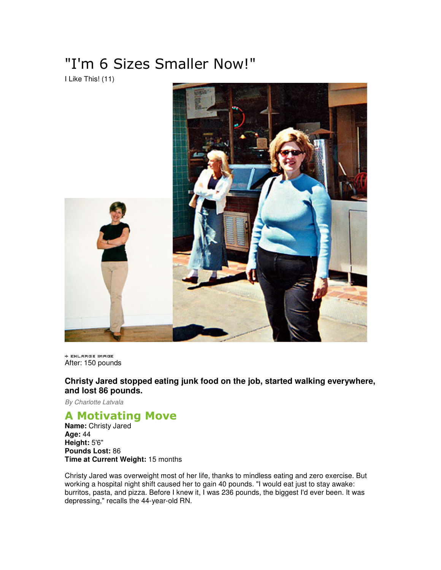## "I'm 6 Sizes Smaller Now!"

I Like This! (11)



+ ENLARGE IMAGE After: 150 pounds

**Christy Jared stopped eating junk food on the job, started walking everywhere, and lost 86 pounds.** 

By Charlotte Latvala

## A Motivating Move

**Name:** Christy Jared **Age:** 44 **Height:** 5'6" **Pounds Lost:** 86 **Time at Current Weight:** 15 months

Christy Jared was overweight most of her life, thanks to mindless eating and zero exercise. But working a hospital night shift caused her to gain 40 pounds. "I would eat just to stay awake: burritos, pasta, and pizza. Before I knew it, I was 236 pounds, the biggest I'd ever been. It was depressing," recalls the 44-year-old RN.